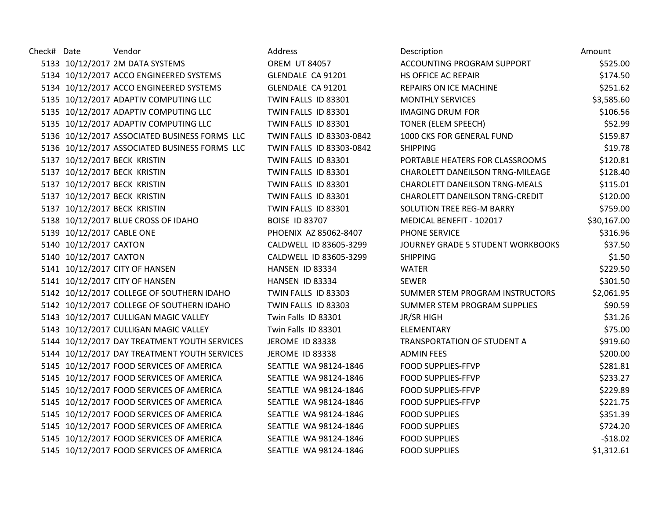Check# Date vendor was vendor and Address and Description and Description Amount 5133 10/12/2017 2M DATA SYSTEMS **OREM UT 84057** 5134 10/12/2017 ACCO ENGINEERED SYSTEMS GLENDALE CA 91201 5134 10/12/2017 ACCO ENGINEERED SYSTEMS GLENDALE CA 91201 F 5135 10/12/2017 ADAPTIV COMPUTING LLC TWIN FALLS ID 83301 MONTHLY SERVICES STRUCKS \$1,500 MONTHLY SERVICES \$1, 5135 10/12/2017 ADAPTIV COMPUTING LLC TWIN FALLS ID 83301 IMAGING DRUM FOR \$106.566.566.566.566.566.566.566.56 5135 10/12/2017 ADAPTIV COMPUTING LLC TWIN FALLS ID 83301 5136 10/12/2017 ASSOCIATED BUSINESS FORMS LLC TWIN FALLS ID 83303-0842 5136 10/12/2017 ASSOCIATED BUSINESS FORMS LLC TWIN FALLS ID 83303-0842 SHIPPING \$19.78 5137 10/12/2017 BECK KRISTIN TWIN FALLS ID 83301 5137 10/12/2017 BECK KRISTIN TWIN FALLS ID 83301 5137 10/12/2017 BECK KRISTIN TWIN FALLS ID 83301 5137 10/12/2017 BECK KRISTIN TWIN FALLS ID 83301 5137 10/12/2017 BECK KRISTIN TWIN FALLS ID 83301 5138 10/12/2017 BLUE CROSS OF IDAHO BOISE ID 83707 MEDICAL BENEFIT ASSAULT AT A 100 MEDICAL BENEFIT ASSAULT BE 5139 10/12/2017 CABLE ONE **PHOENIX AZ 85062-8407** 5140 10/12/2017 CAXTON CALDWELL ID 83605-3299 5140 10/12/2017 CAXTON CALDWELL ID 83605-3299 5141 10/12/2017 CITY OF HANSEN NEXT CHANSEN ID 83334 5141 10/12/2017 CITY OF HANSEN **SAULT AT A HANSEN ID 83334** 5142 10/12/2017 COLLEGE OF SOUTHERN IDAHO TWIN FALLS ID 83303 5142 10/12/2017 COLLEGE OF SOUTHERN IDAHO TWIN FALLS ID 83303 5143 10/12/2017 CULLIGAN MAGIC VALLEY Twin Falls ID 83301 5143 10/12/2017 CULLIGAN MAGIC VALLEY Twin Falls ID 83301 5144 10/12/2017 DAY TREATMENT YOUTH SERVICES JEROME ID 83338 5144 10/12/2017 DAY TREATMENT YOUTH SERVICES JEROME ID 83338 5145 10/12/2017 FOOD SERVICES OF AMERICA SEATTLE WA 98124-1846 F 5145 10/12/2017 FOOD SERVICES OF AMERICA SEATTLE WA 98124-1846 5145 10/12/2017 FOOD SERVICES OF AMERICA SEATTLE WA 98124-1846 F 5145 10/12/2017 FOOD SERVICES OF AMERICA SEATTLE WA 98124-1846 F 5145 10/12/2017 FOOD SERVICES OF AMERICA SEATTLE WA 98124-1846 5145 10/12/2017 FOOD SERVICES OF AMERICA SEATTLE WA 98124-1846 F 5145 10/12/2017 FOOD SERVICES OF AMERICA SEATTLE WA 98124-1846 5145 10/12/2017 FOOD SERVICES OF AMERICA SEATTLE WA 98124-1846 F

| <b>Description</b>                      | Amount      |
|-----------------------------------------|-------------|
| <b>ACCOUNTING PROGRAM SUPPORT</b>       | \$525.00    |
| <b>IS OFFICE AC REPAIR</b>              | \$174.50    |
| REPAIRS ON ICE MACHINE                  | \$251.62    |
| <b>MONTHLY SERVICES</b>                 | \$3,585.60  |
| <b>MAGING DRUM FOR</b>                  | \$106.56    |
| <b>FONER (ELEM SPEECH)</b>              | \$52.99     |
| 1000 CKS FOR GENERAL FUND               | \$159.87    |
| SHIPPING                                | \$19.78     |
| PORTABLE HEATERS FOR CLASSROOMS         | \$120.81    |
| CHAROLETT DANEILSON TRNG-MILEAGE        | \$128.40    |
| CHAROLETT DANEILSON TRNG-MEALS          | \$115.01    |
| CHAROLETT DANEILSON TRNG-CREDIT         | \$120.00    |
| <b>SOLUTION TREE REG-M BARRY</b>        | \$759.00    |
| <b>MEDICAL BENEFIT - 102017</b>         | \$30,167.00 |
| <b>PHONE SERVICE</b>                    | \$316.96    |
| <b>OURNEY GRADE 5 STUDENT WORKBOOKS</b> | \$37.50     |
| SHIPPING                                | \$1.50      |
| <b>NATER</b>                            | \$229.50    |
| <b>SEWER</b>                            | \$301.50    |
| <b>SUMMER STEM PROGRAM INSTRUCTORS</b>  | \$2,061.95  |
| <b>SUMMER STEM PROGRAM SUPPLIES</b>     | \$90.59     |
| <b>R/SR HIGH</b>                        | \$31.26     |
| <b>ELEMENTARY</b>                       | \$75.00     |
| <b>FRANSPORTATION OF STUDENT A</b>      | \$919.60    |
| <b>ADMIN FEES</b>                       | \$200.00    |
| OOD SUPPLIES-FFVP                       | \$281.81    |
| OOD SUPPLIES-FFVP                       | \$233.27    |
| OOD SUPPLIES-FFVP                       | \$229.89    |
| OOD SUPPLIES-FFVP                       | \$221.75    |
| <b>FOOD SUPPLIES</b>                    | \$351.39    |
| OOD SUPPLIES                            | \$724.20    |
| OOD SUPPLIES                            | $-518.02$   |
| OOD SUPPLIES                            | \$1,312.61  |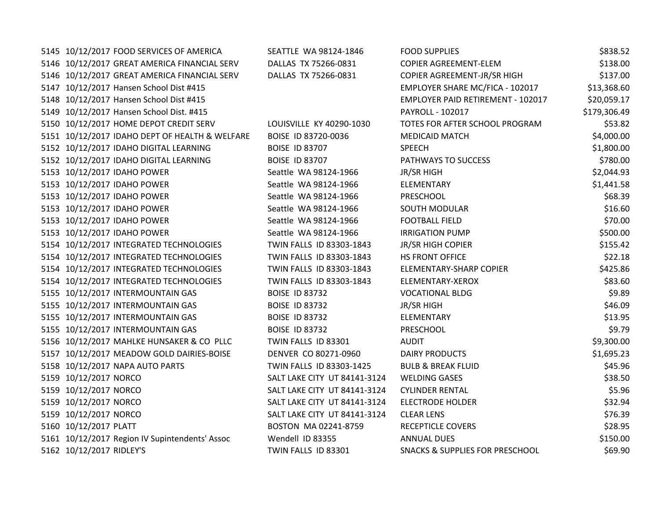5145 10/12/2017 FOOD SERVICES OF AMERICA SEATTLE WA 98124-1846 F 5146 10/12/2017 GREAT AMERICA FINANCIAL SERV DALLAS TX 75266-0831 C 5146 10/12/2017 GREAT AMERICA FINANCIAL SERV DALLAS TX 75266-0831 C 5147 10/12/2017 Hansen School Dist #415 EMPLOYER SHARE MC/FICA - 102017 \$13,368.6001 5148 10/12/2017 Hansen School Dist #415 **EMPLOYER PAID RETIREMENT - 102017 \$20017**  $\overline{E}$ 5149 10/12/2017 Hansen School Dist. #415 PAYROLL - 102017 \$179,306.97 PAYROLL - 102017 \$179,306.497,306.497,30 5150 10/12/2017 HOME DEPOT CREDIT SERV LOUISVILLE KY 40290-1030 T 5151 10/12/2017 IDAHO DEPT OF HEALTH & WELFARE BOISE ID 83720-0036 M 5152 10/12/2017 IDAHO DIGITAL LEARNING BOISE ID 83707 S 5152 10/12/2017 IDAHO DIGITAL LEARNING BOISE ID 83707 PATHWAYS TO SUCCESS \$780.000 5153 10/12/2017 IDAHO POWER Seattle WA 98124-1966 5153 10/12/2017 IDAHO POWER Seattle WA 98124-1966 ELEMENTARY \$153. 5153 10/12/2017 IDAHO POWER Seattle WA 98124-1966 P 5153 10/12/2017 IDAHO POWER Seattle WA 98124-1966 S 5153 10/12/2017 IDAHO POWER Seattle WA 98124-1966 F 5153 10/12/2017 IDAHO POWER Seattle WA 98124-1966 IF 5154 10/12/2017 INTEGRATED TECHNOLOGIES TWIN FALLS ID 83303-1843 5154 10/12/2017 INTEGRATED TECHNOLOGIES TWIN FALLS ID 83303-1843 H 5154 10/12/2017 INTEGRATED TECHNOLOGIES TWIN FALLS ID 83303-1843 E 5154 10/12/2017 INTEGRATED TECHNOLOGIES TWIN FALLS ID 83303-1843 E 5155 10/12/2017 INTERMOUNTAIN GAS BOISE ID 83732 V 5155 10/12/2017 INTERMOUNTAIN GAS BOISE ID 83732 5155 10/12/2017 INTERMOUNTAIN GAS BOISE ID 83732 ELEMENTARY \$13.95 ELEMENTARY \$13.957 ELEMENTARY \$13.957 ELEMENTARY \$13.957 ELEMENTARY \$13.957 ELEMENTARY \$13.957 ELEMENTARY \$13.957 ELEMENTARY \$13.957 ELEMENTARY \$13.957 ELE 5155 10/12/2017 INTERMOUNTAIN GAS BOISE ID 83732 PRESCHOOL \$9.732 5156 10/12/2017 MAHLKE HUNSAKER & CO PLLC TWIN FALLS ID 83301 A 5157 10/12/2017 MEADOW GOLD DAIRIES-BOISE DENVER CO 80271-0960 D 5158 10/12/2017 NAPA AUTO PARTS TWIN FALLS ID 83303-1425 5159 10/12/2017 NORCO SALT LAKE CITY UT 84141-3124 V 5159 10/12/2017 NORCO SALT LAKE CITY UT 84141-3124 C 5159 10/12/2017 NORCO SALT LAKE CITY UT 84141-3124 E 5159 10/12/2017 NORCO SALT LAKE CITY UT 84141-3124 C 5160 10/12/2017 PLATT BOSTON MA 02241-8759 R 5161 10/12/2017 Region IV Supintendents' Assoc Wendell ID 83355 ANNUAL DUES \$150.000 5162 10/12/2017 RIDLEY'S **TWIN FALLS ID 83301** S

| <b>OOD SUPPLIES</b>                       | \$838.52     |
|-------------------------------------------|--------------|
| <b>COPIER AGREEMENT-ELEM</b>              | \$138.00     |
| OPIER AGREEMENT-JR/SR HIGH                | \$137.00     |
| MPLOYER SHARE MC/FICA - 102017            | \$13,368.60  |
| MPLOYER PAID RETIREMENT - 102017          | \$20,059.17  |
| AYROLL - 102017                           | \$179,306.49 |
| OTES FOR AFTER SCHOOL PROGRAM             | \$53.82      |
| <b><i>AEDICAID MATCH</i></b>              | \$4,000.00   |
| PEECH                                     | \$1,800.00   |
| <b>ATHWAYS TO SUCCESS</b>                 | \$780.00     |
| R/SR HIGH                                 | \$2,044.93   |
| LEMENTARY                                 | \$1,441.58   |
| <b>RESCHOOL</b>                           | \$68.39      |
| <b>OUTH MODULAR</b>                       | \$16.60      |
| <b>OOTBALL FIELD</b>                      | \$70.00      |
| RRIGATION PUMP                            | \$500.00     |
| R/SR HIGH COPIER                          | \$155.42     |
| <b>IS FRONT OFFICE</b>                    | \$22.18      |
| <b>LEMENTARY-SHARP COPIER</b>             | \$425.86     |
| LEMENTARY-XEROX                           | \$83.60      |
| OCATIONAL BLDG                            | \$9.89       |
| R/SR HIGH                                 | \$46.09      |
| LEMENTARY                                 | \$13.95      |
| <b>RESCHOOL</b>                           | \$9.79       |
| <b>UDIT</b>                               | \$9,300.00   |
| <b>AIRY PRODUCTS</b>                      | \$1,695.23   |
| ULB & BREAK FLUID                         | \$45.96      |
| <b>VELDING GASES</b>                      | \$38.50      |
| <b>YLINDER RENTAL</b>                     | \$5.96       |
| LECTRODE HOLDER                           | \$32.94      |
| LEAR LENS                                 | \$76.39      |
| <b>ECEPTICLE COVERS</b>                   | \$28.95      |
| <b>NNUAL DUES</b>                         | \$150.00     |
| <b>NACKS &amp; SUPPLIES FOR PRESCHOOL</b> | \$69.90      |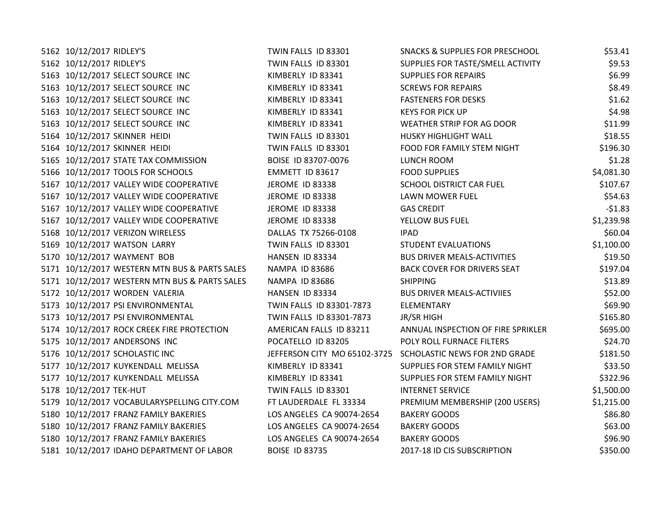| 5162 10/12/2017 RIDLEY'S                      | TWIN FALLS ID 83301          | <b>SNACKS &amp; SUPPLIES FOR PRESCHOOL</b> | \$53.41    |
|-----------------------------------------------|------------------------------|--------------------------------------------|------------|
| 5162 10/12/2017 RIDLEY'S                      | TWIN FALLS ID 83301          | SUPPLIES FOR TASTE/SMELL ACTIVITY          | \$9.53     |
| 5163 10/12/2017 SELECT SOURCE INC             | KIMBERLY ID 83341            | <b>SUPPLIES FOR REPAIRS</b>                | \$6.99     |
| 5163 10/12/2017 SELECT SOURCE INC             | KIMBERLY ID 83341            | <b>SCREWS FOR REPAIRS</b>                  | \$8.49     |
| 5163 10/12/2017 SELECT SOURCE INC             | KIMBERLY ID 83341            | <b>FASTENERS FOR DESKS</b>                 | \$1.62     |
| 5163 10/12/2017 SELECT SOURCE INC             | KIMBERLY ID 83341            | <b>KEYS FOR PICK UP</b>                    | \$4.98     |
| 5163 10/12/2017 SELECT SOURCE INC             | KIMBERLY ID 83341            | WEATHER STRIP FOR AG DOOR                  | \$11.99    |
| 5164 10/12/2017 SKINNER HEIDI                 | TWIN FALLS ID 83301          | HUSKY HIGHLIGHT WALL                       | \$18.55    |
| 5164 10/12/2017 SKINNER HEIDI                 | TWIN FALLS ID 83301          | FOOD FOR FAMILY STEM NIGHT                 | \$196.30   |
| 5165 10/12/2017 STATE TAX COMMISSION          | BOISE ID 83707-0076          | LUNCH ROOM                                 | \$1.28     |
| 5166 10/12/2017 TOOLS FOR SCHOOLS             | EMMETT ID 83617              | <b>FOOD SUPPLIES</b>                       | \$4,081.30 |
| 5167 10/12/2017 VALLEY WIDE COOPERATIVE       | JEROME ID 83338              | SCHOOL DISTRICT CAR FUEL                   | \$107.67   |
| 5167 10/12/2017 VALLEY WIDE COOPERATIVE       | JEROME ID 83338              | LAWN MOWER FUEL                            | \$54.63    |
| 5167 10/12/2017 VALLEY WIDE COOPERATIVE       | <b>JEROME ID 83338</b>       | <b>GAS CREDIT</b>                          | $-51.83$   |
| 5167 10/12/2017 VALLEY WIDE COOPERATIVE       | JEROME ID 83338              | YELLOW BUS FUEL                            | \$1,239.98 |
| 5168 10/12/2017 VERIZON WIRELESS              | DALLAS TX 75266-0108         | <b>IPAD</b>                                | \$60.04    |
| 5169 10/12/2017 WATSON LARRY                  | TWIN FALLS ID 83301          | <b>STUDENT EVALUATIONS</b>                 | \$1,100.00 |
| 5170 10/12/2017 WAYMENT BOB                   | HANSEN ID 83334              | <b>BUS DRIVER MEALS-ACTIVITIES</b>         | \$19.50    |
| 5171 10/12/2017 WESTERN MTN BUS & PARTS SALES | NAMPA ID 83686               | <b>BACK COVER FOR DRIVERS SEAT</b>         | \$197.04   |
| 5171 10/12/2017 WESTERN MTN BUS & PARTS SALES | NAMPA ID 83686               | <b>SHIPPING</b>                            | \$13.89    |
| 5172 10/12/2017 WORDEN VALERIA                | HANSEN ID 83334              | <b>BUS DRIVER MEALS-ACTIVIIES</b>          | \$52.00    |
| 5173 10/12/2017 PSI ENVIRONMENTAL             | TWIN FALLS ID 83301-7873     | ELEMENTARY                                 | \$69.90    |
| 5173 10/12/2017 PSI ENVIRONMENTAL             | TWIN FALLS ID 83301-7873     | JR/SR HIGH                                 | \$165.80   |
| 5174 10/12/2017 ROCK CREEK FIRE PROTECTION    | AMERICAN FALLS ID 83211      | ANNUAL INSPECTION OF FIRE SPRIKLER         | \$695.00   |
| 5175 10/12/2017 ANDERSONS INC                 | POCATELLO ID 83205           | POLY ROLL FURNACE FILTERS                  | \$24.70    |
| 5176 10/12/2017 SCHOLASTIC INC                | JEFFERSON CITY MO 65102-3725 | SCHOLASTIC NEWS FOR 2ND GRADE              | \$181.50   |
| 5177 10/12/2017 KUYKENDALL MELISSA            | KIMBERLY ID 83341            | SUPPLIES FOR STEM FAMILY NIGHT             | \$33.50    |
| 5177 10/12/2017 KUYKENDALL MELISSA            | KIMBERLY ID 83341            | SUPPLIES FOR STEM FAMILY NIGHT             | \$322.96   |
| 5178 10/12/2017 TEK-HUT                       | TWIN FALLS ID 83301          | <b>INTERNET SERVICE</b>                    | \$1,500.00 |
| 5179 10/12/2017 VOCABULARYSPELLING CITY.COM   | FT LAUDERDALE FL 33334       | PREMIUM MEMBERSHIP (200 USERS)             | \$1,215.00 |
| 5180 10/12/2017 FRANZ FAMILY BAKERIES         | LOS ANGELES CA 90074-2654    | <b>BAKERY GOODS</b>                        | \$86.80    |
| 5180 10/12/2017 FRANZ FAMILY BAKERIES         | LOS ANGELES CA 90074-2654    | <b>BAKERY GOODS</b>                        | \$63.00    |
| 5180 10/12/2017 FRANZ FAMILY BAKERIES         | LOS ANGELES CA 90074-2654    | <b>BAKERY GOODS</b>                        | \$96.90    |
| 5181 10/12/2017 IDAHO DEPARTMENT OF LABOR     | <b>BOISE ID 83735</b>        | 2017-18 ID CIS SUBSCRIPTION                | \$350.00   |